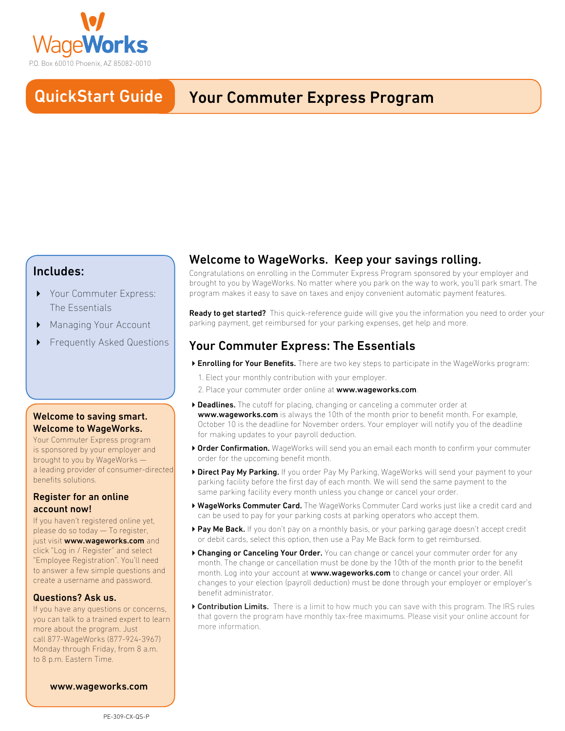

#### QuickStart Guide **QuickStart Guide** Your Commuter Express Program

# Includes:

- ▶ Your Commuter Express: The Essentials
- Managing Your Account
- 4 Frequently Asked Questions

## Welcome to saving smart. Welcome to WageWorks.

Your Commuter Express program is sponsored by your employer and brought to you by WageWorks a leading provider of consumer-directed benefits solutions.

## Register for an online account now!

If you haven't registered online yet, please do so today — To register, just visit www.wageworks.com and click "Log in / Register" and select "Employee Registration". You'll need to answer a few simple questions and create a username and password.

## Questions? Ask us.

If you have any questions or concerns, you can talk to a trained expert to learn more about the program. Just call 877-WageWorks (877-924-3967) Monday through Friday, from 8 a.m. to 8 p.m. Eastern Time.

[www.wageworks.com](http://www.wageworks.com/)

# Welcome to WageWorks. Keep your savings rolling.

Congratulations on enrolling in the Commuter Express Program sponsored by your employer and brought to you by WageWorks. No matter where you park on the way to work, you'll park smart. The program makes it easy to save on taxes and enjoy convenient automatic payment features.

Ready to get started? This quick-reference guide will give you the information you need to order your parking payment, get reimbursed for your parking expenses, get help and more.

# Your Commuter Express: The Essentials

- ▶ Enrolling for Your Benefits. There are two key steps to participate in the WageWorks program:
	- 1. Elect your monthly contribution with your employer.
	- 2. Place your commuter order online at www.wageworks.com.
- ▶ Deadlines. The cutoff for placing, changing or canceling a commuter order at www.waqeworks.com is always the 10th of the month prior to benefit month. For example, October 10 is the deadline for November orders. Your employer will notify you of the deadline for making updates to your payroll deduction.
- ▶ Order Confirmation. WageWorks will send you an email each month to confirm your commuter order for the upcoming benefit month.
- ▶ Direct Pay My Parking. If you order Pay My Parking, WageWorks will send your payment to your parking facility before the first day of each month. We will send the same payment to the same parking facility every month unless you change or cancel your order.
- ▶ WageWorks Commuter Card. The WageWorks Commuter Card works just like a credit card and can be used to pay for your parking costs at parking operators who accept them.
- ▶ Pay Me Back. If you don't pay on a monthly basis, or your parking garage doesn't accept credit or debit cards, select this option, then use a Pay Me Back form to get reimbursed.
- ▶ Changing or Canceling Your Order. You can change or cancel your commuter order for any month. The change or cancellation must be done by the 10th of the month prior to the benefit month. Log into your account at www.wageworks.com to change or cancel your order. All changes to your election (payroll deduction) must be done through your employer or employer's benefit administrator.
- ▶ Contribution Limits. There is a limit to how much you can save with this program. The IRS rules that govern the program have monthly tax-free maximums. Please visit your online account for more information.